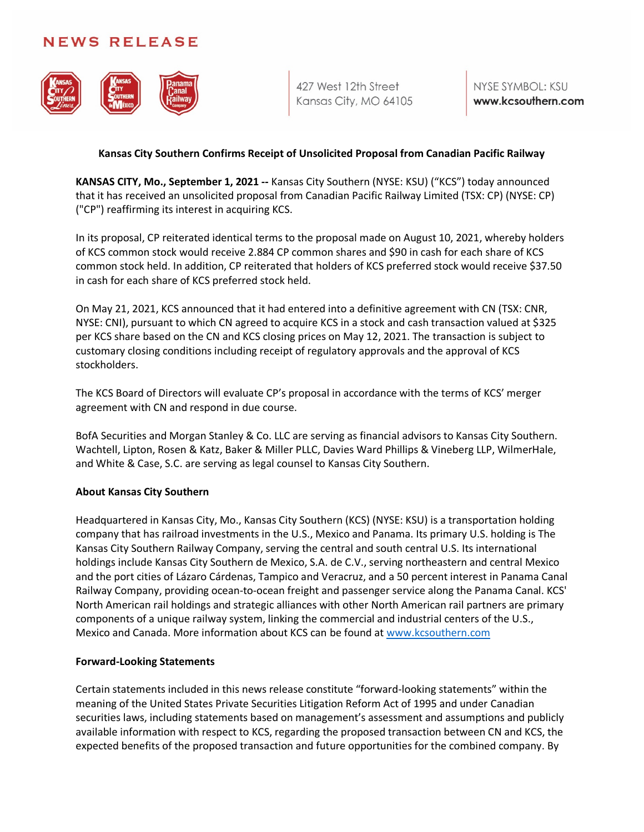# **NEWS RELEASE**



427 West 12th Street Kansas City, MO 64105

# **Kansas City Southern Confirms Receipt of Unsolicited Proposal from Canadian Pacific Railway**

**KANSAS CITY, Mo., September 1, 2021 --** Kansas City Southern (NYSE: KSU) ("KCS") today announced that it has received an unsolicited proposal from Canadian Pacific Railway Limited (TSX: CP) (NYSE: CP) ("CP") reaffirming its interest in acquiring KCS.

In its proposal, CP reiterated identical terms to the proposal made on August 10, 2021, whereby holders of KCS common stock would receive 2.884 CP common shares and \$90 in cash for each share of KCS common stock held. In addition, CP reiterated that holders of KCS preferred stock would receive \$37.50 in cash for each share of KCS preferred stock held.

On May 21, 2021, KCS announced that it had entered into a definitive agreement with CN (TSX: CNR, NYSE: CNI), pursuant to which CN agreed to acquire KCS in a stock and cash transaction valued at \$325 per KCS share based on the CN and KCS closing prices on May 12, 2021. The transaction is subject to customary closing conditions including receipt of regulatory approvals and the approval of KCS stockholders.

The KCS Board of Directors will evaluate CP's proposal in accordance with the terms of KCS' merger agreement with CN and respond in due course.

BofA Securities and Morgan Stanley & Co. LLC are serving as financial advisors to Kansas City Southern. Wachtell, Lipton, Rosen & Katz, Baker & Miller PLLC, Davies Ward Phillips & Vineberg LLP, WilmerHale, and White & Case, S.C. are serving as legal counsel to Kansas City Southern.

## **About Kansas City Southern**

Headquartered in Kansas City, Mo., Kansas City Southern (KCS) (NYSE: KSU) is a transportation holding company that has railroad investments in the U.S., Mexico and Panama. Its primary U.S. holding is The Kansas City Southern Railway Company, serving the central and south central U.S. Its international holdings include Kansas City Southern de Mexico, S.A. de C.V., serving northeastern and central Mexico and the port cities of Lázaro Cárdenas, Tampico and Veracruz, and a 50 percent interest in Panama Canal Railway Company, providing ocean-to-ocean freight and passenger service along the Panama Canal. KCS' North American rail holdings and strategic alliances with other North American rail partners are primary components of a unique railway system, linking the commercial and industrial centers of the U.S., Mexico and Canada. More information about KCS can be found at [www.kcsouthern.com](https://cts.businesswire.com/ct/CT?id=smartlink&url=http%3A%2F%2Fwww.kcsouthern.com&esheet=52469468&newsitemid=20210802005211&lan=en-US&anchor=www.kcsouthern.com&index=3&md5=6ea848fe2affc56fd9a9ebf3ecc41841)

## **Forward-Looking Statements**

Certain statements included in this news release constitute "forward-looking statements" within the meaning of the United States Private Securities Litigation Reform Act of 1995 and under Canadian securities laws, including statements based on management's assessment and assumptions and publicly available information with respect to KCS, regarding the proposed transaction between CN and KCS, the expected benefits of the proposed transaction and future opportunities for the combined company. By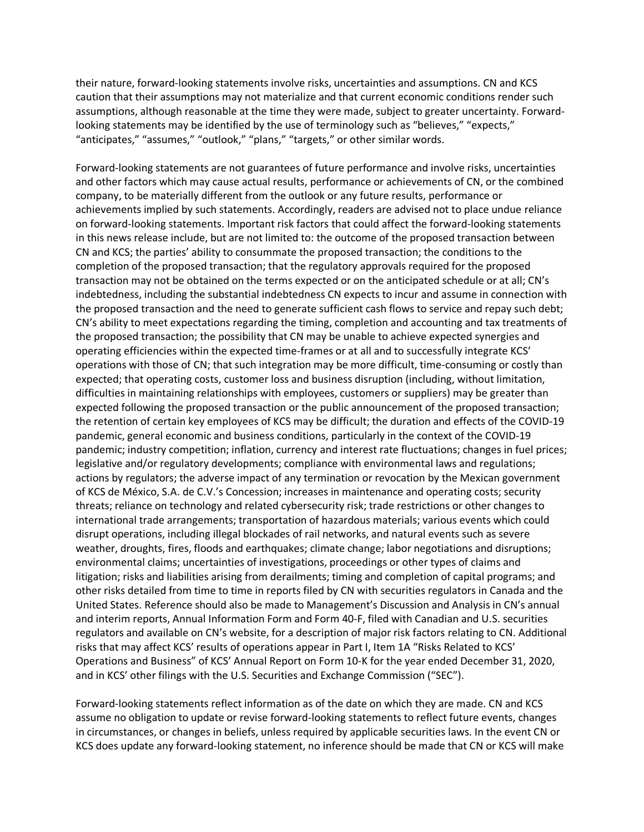their nature, forward-looking statements involve risks, uncertainties and assumptions. CN and KCS caution that their assumptions may not materialize and that current economic conditions render such assumptions, although reasonable at the time they were made, subject to greater uncertainty. Forwardlooking statements may be identified by the use of terminology such as "believes," "expects," "anticipates," "assumes," "outlook," "plans," "targets," or other similar words.

Forward-looking statements are not guarantees of future performance and involve risks, uncertainties and other factors which may cause actual results, performance or achievements of CN, or the combined company, to be materially different from the outlook or any future results, performance or achievements implied by such statements. Accordingly, readers are advised not to place undue reliance on forward-looking statements. Important risk factors that could affect the forward-looking statements in this news release include, but are not limited to: the outcome of the proposed transaction between CN and KCS; the parties' ability to consummate the proposed transaction; the conditions to the completion of the proposed transaction; that the regulatory approvals required for the proposed transaction may not be obtained on the terms expected or on the anticipated schedule or at all; CN's indebtedness, including the substantial indebtedness CN expects to incur and assume in connection with the proposed transaction and the need to generate sufficient cash flows to service and repay such debt; CN's ability to meet expectations regarding the timing, completion and accounting and tax treatments of the proposed transaction; the possibility that CN may be unable to achieve expected synergies and operating efficiencies within the expected time-frames or at all and to successfully integrate KCS' operations with those of CN; that such integration may be more difficult, time-consuming or costly than expected; that operating costs, customer loss and business disruption (including, without limitation, difficulties in maintaining relationships with employees, customers or suppliers) may be greater than expected following the proposed transaction or the public announcement of the proposed transaction; the retention of certain key employees of KCS may be difficult; the duration and effects of the COVID-19 pandemic, general economic and business conditions, particularly in the context of the COVID-19 pandemic; industry competition; inflation, currency and interest rate fluctuations; changes in fuel prices; legislative and/or regulatory developments; compliance with environmental laws and regulations; actions by regulators; the adverse impact of any termination or revocation by the Mexican government of KCS de México, S.A. de C.V.'s Concession; increases in maintenance and operating costs; security threats; reliance on technology and related cybersecurity risk; trade restrictions or other changes to international trade arrangements; transportation of hazardous materials; various events which could disrupt operations, including illegal blockades of rail networks, and natural events such as severe weather, droughts, fires, floods and earthquakes; climate change; labor negotiations and disruptions; environmental claims; uncertainties of investigations, proceedings or other types of claims and litigation; risks and liabilities arising from derailments; timing and completion of capital programs; and other risks detailed from time to time in reports filed by CN with securities regulators in Canada and the United States. Reference should also be made to Management's Discussion and Analysis in CN's annual and interim reports, Annual Information Form and Form 40-F, filed with Canadian and U.S. securities regulators and available on CN's website, for a description of major risk factors relating to CN. Additional risks that may affect KCS' results of operations appear in Part I, Item 1A "Risks Related to KCS' Operations and Business" of KCS' Annual Report on Form 10-K for the year ended December 31, 2020, and in KCS' other filings with the U.S. Securities and Exchange Commission ("SEC").

Forward-looking statements reflect information as of the date on which they are made. CN and KCS assume no obligation to update or revise forward-looking statements to reflect future events, changes in circumstances, or changes in beliefs, unless required by applicable securities laws. In the event CN or KCS does update any forward-looking statement, no inference should be made that CN or KCS will make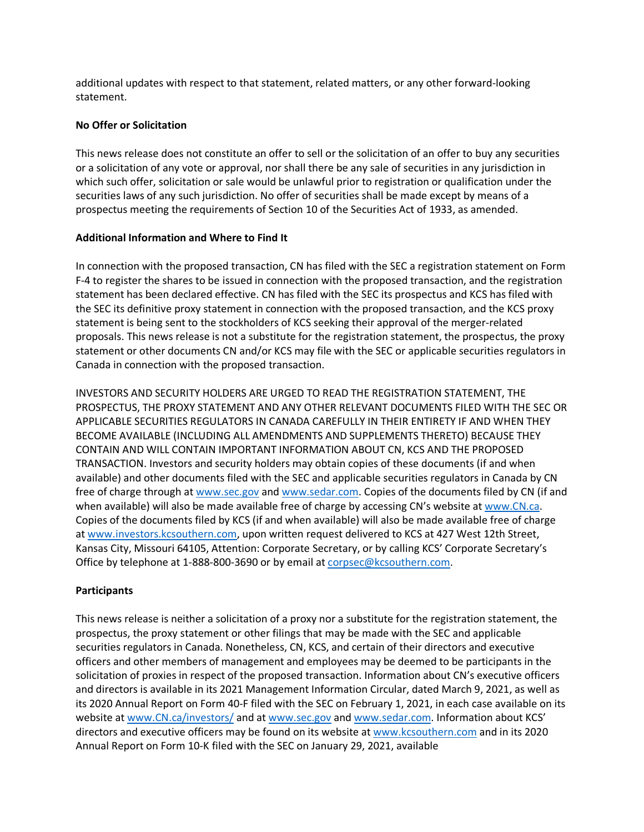additional updates with respect to that statement, related matters, or any other forward-looking statement.

# **No Offer or Solicitation**

This news release does not constitute an offer to sell or the solicitation of an offer to buy any securities or a solicitation of any vote or approval, nor shall there be any sale of securities in any jurisdiction in which such offer, solicitation or sale would be unlawful prior to registration or qualification under the securities laws of any such jurisdiction. No offer of securities shall be made except by means of a prospectus meeting the requirements of Section 10 of the Securities Act of 1933, as amended.

# **Additional Information and Where to Find It**

In connection with the proposed transaction, CN has filed with the SEC a registration statement on Form F-4 to register the shares to be issued in connection with the proposed transaction, and the registration statement has been declared effective. CN has filed with the SEC its prospectus and KCS has filed with the SEC its definitive proxy statement in connection with the proposed transaction, and the KCS proxy statement is being sent to the stockholders of KCS seeking their approval of the merger-related proposals. This news release is not a substitute for the registration statement, the prospectus, the proxy statement or other documents CN and/or KCS may file with the SEC or applicable securities regulators in Canada in connection with the proposed transaction.

INVESTORS AND SECURITY HOLDERS ARE URGED TO READ THE REGISTRATION STATEMENT, THE PROSPECTUS, THE PROXY STATEMENT AND ANY OTHER RELEVANT DOCUMENTS FILED WITH THE SEC OR APPLICABLE SECURITIES REGULATORS IN CANADA CAREFULLY IN THEIR ENTIRETY IF AND WHEN THEY BECOME AVAILABLE (INCLUDING ALL AMENDMENTS AND SUPPLEMENTS THERETO) BECAUSE THEY CONTAIN AND WILL CONTAIN IMPORTANT INFORMATION ABOUT CN, KCS AND THE PROPOSED TRANSACTION. Investors and security holders may obtain copies of these documents (if and when available) and other documents filed with the SEC and applicable securities regulators in Canada by CN free of charge through at [www.sec.gov](https://cts.businesswire.com/ct/CT?id=smartlink&url=http%3A%2F%2Fwww.sec.gov&esheet=52469468&newsitemid=20210802005211&lan=en-US&anchor=www.sec.gov&index=4&md5=cddb0e018dfde49dd25fe3fb57a6c8ea) and [www.sedar.com.](https://cts.businesswire.com/ct/CT?id=smartlink&url=http%3A%2F%2Fwww.sedar.com&esheet=52469468&newsitemid=20210802005211&lan=en-US&anchor=www.sedar.com&index=5&md5=e35ae3b0c3f8999365f455ad8c844213) Copies of the documents filed by CN (if and when available) will also be made available free of charge by accessing CN's website at [www.CN.ca.](https://cts.businesswire.com/ct/CT?id=smartlink&url=http%3A%2F%2Fwww.CN.ca&esheet=52469468&newsitemid=20210802005211&lan=en-US&anchor=www.CN.ca&index=6&md5=752624abf7db272500ea1a0f04a8d778) Copies of the documents filed by KCS (if and when available) will also be made available free of charge at [www.investors.kcsouthern.com,](https://cts.businesswire.com/ct/CT?id=smartlink&url=http%3A%2F%2Fwww.investors.kcsouthern.com&esheet=52469468&newsitemid=20210802005211&lan=en-US&anchor=www.investors.kcsouthern.com&index=7&md5=fa839d2cfa9b4e6e68997481ce8a70c3) upon written request delivered to KCS at 427 West 12th Street, Kansas City, Missouri 64105, Attention: Corporate Secretary, or by calling KCS' Corporate Secretary's Office by telephone at 1-888-800-3690 or by email at [corpsec@kcsouthern.com.](mailto:corpsec@kcsouthern.com)

# **Participants**

This news release is neither a solicitation of a proxy nor a substitute for the registration statement, the prospectus, the proxy statement or other filings that may be made with the SEC and applicable securities regulators in Canada. Nonetheless, CN, KCS, and certain of their directors and executive officers and other members of management and employees may be deemed to be participants in the solicitation of proxies in respect of the proposed transaction. Information about CN's executive officers and directors is available in its 2021 Management Information Circular, dated March 9, 2021, as well as its 2020 Annual Report on Form 40-F filed with the SEC on February 1, 2021, in each case available on its website at [www.CN.ca/investors/](https://cts.businesswire.com/ct/CT?id=smartlink&url=http%3A%2F%2Fwww.CN.ca%2Finvestors%2F&esheet=52469468&newsitemid=20210802005211&lan=en-US&anchor=www.CN.ca%2Finvestors%2F&index=8&md5=ba3095968f9c15ff6e9dd4be210105f8) and at [www.sec.gov](https://cts.businesswire.com/ct/CT?id=smartlink&url=http%3A%2F%2Fwww.sec.gov&esheet=52469468&newsitemid=20210802005211&lan=en-US&anchor=www.sec.gov&index=9&md5=aee92e1a9394def38131648d560d943e) and [www.sedar.com.](https://cts.businesswire.com/ct/CT?id=smartlink&url=http%3A%2F%2Fwww.sedar.com&esheet=52469468&newsitemid=20210802005211&lan=en-US&anchor=www.sedar.com&index=10&md5=dfbec9375153a77714879d2a0911242c) Information about KCS' directors and executive officers may be found on its website at [www.kcsouthern.com](https://cts.businesswire.com/ct/CT?id=smartlink&url=http%3A%2F%2Fwww.kcsouthern.com&esheet=52469468&newsitemid=20210802005211&lan=en-US&anchor=www.kcsouthern.com&index=11&md5=aab4cff5dc67ae3456d5cb99e8528b6b) and in its 2020 Annual Report on Form 10-K filed with the SEC on January 29, 2021, available